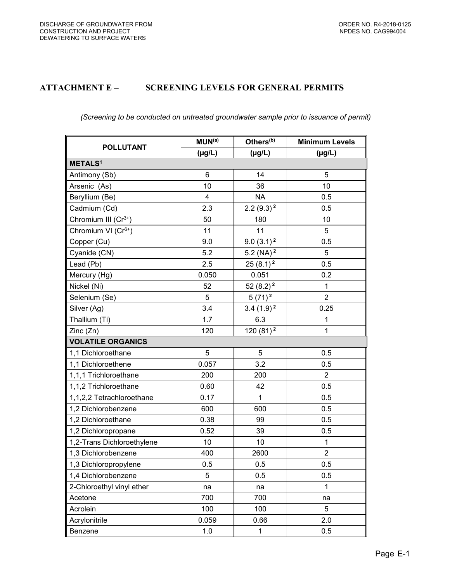## **ATTACHMENT E – SCREENING LEVELS FOR GENERAL PERMITS**

## *(Screening to be conducted on untreated groundwater sample prior to issuance of permit)*

| <b>POLLUTANT</b>                 | MUN <sup>(a)</sup> | Others <sup>(b)</sup> | <b>Minimum Levels</b> |  |  |  |
|----------------------------------|--------------------|-----------------------|-----------------------|--|--|--|
|                                  | $(\mu g/L)$        | $(\mu g/L)$           | $(\mu g/L)$           |  |  |  |
| <b>METALS<sup>1</sup></b>        |                    |                       |                       |  |  |  |
| Antimony (Sb)                    | $6\phantom{1}6$    | 14                    | 5                     |  |  |  |
| Arsenic (As)                     | 10                 | 36                    | 10                    |  |  |  |
| Beryllium (Be)                   | 4                  | <b>NA</b>             | 0.5                   |  |  |  |
| Cadmium (Cd)                     | 2.3                | $2.2(9.3)^2$          | 0.5                   |  |  |  |
| Chromium III (Cr <sup>3+</sup> ) | 50                 | 180                   | 10                    |  |  |  |
| Chromium VI (Cr <sup>6+</sup> )  | 11                 | 11                    | 5                     |  |  |  |
| Copper (Cu)                      | 9.0                | $9.0(3.1)^2$          | 0.5                   |  |  |  |
| Cyanide (CN)                     | 5.2                | 5.2 (NA) $^2$         | $\overline{5}$        |  |  |  |
| Lead (Pb)                        | 2.5                | $25(8.1)^2$           | 0.5                   |  |  |  |
| Mercury (Hg)                     | 0.050              | 0.051                 | 0.2                   |  |  |  |
| Nickel (Ni)                      | 52                 | $52(8.2)^2$           | 1                     |  |  |  |
| Selenium (Se)                    | 5                  | $5(71)^2$             | $\overline{2}$        |  |  |  |
| Silver (Ag)                      | 3.4                | $3.4(1.9)^2$          | 0.25                  |  |  |  |
| Thallium (Ti)                    | 1.7                | 6.3                   | $\mathbf 1$           |  |  |  |
| Zinc (Zn)                        | 120                | $120(81)^2$           | $\mathbf{1}$          |  |  |  |
| <b>VOLATILE ORGANICS</b>         |                    |                       |                       |  |  |  |
| 1,1 Dichloroethane               | 5                  | 5                     | 0.5                   |  |  |  |
| 1,1 Dichloroethene               | 0.057              | 3.2                   | 0.5                   |  |  |  |
| 1,1,1 Trichloroethane            | 200                | 200                   | 2                     |  |  |  |
| 1,1,2 Trichloroethane            | 0.60               | 42                    | 0.5                   |  |  |  |
| 1,1,2,2 Tetrachloroethane        | 0.17               | $\mathbf{1}$          | 0.5                   |  |  |  |
| 1,2 Dichlorobenzene              | 600                | 600                   | 0.5                   |  |  |  |
| 1,2 Dichloroethane               | 0.38               | 99                    | 0.5                   |  |  |  |
| 1,2 Dichloropropane              | 0.52               | 39                    | 0.5                   |  |  |  |
| 1,2-Trans Dichloroethylene       | 10                 | 10                    | $\mathbf{1}$          |  |  |  |
| 1,3 Dichlorobenzene              | 400                | 2600                  | $\overline{2}$        |  |  |  |
| 1,3 Dichloropropylene            | 0.5                | 0.5                   | 0.5                   |  |  |  |
| 1,4 Dichlorobenzene              | 5                  | 0.5                   | 0.5                   |  |  |  |
| 2-Chloroethyl vinyl ether        | na                 | na                    | $\mathbf{1}$          |  |  |  |
| Acetone                          | 700                | 700                   | na                    |  |  |  |
| Acrolein                         | 100                | 100                   | 5                     |  |  |  |
| Acrylonitrile                    | 0.059              | 0.66                  | 2.0                   |  |  |  |
| Benzene                          | 1.0                | $\mathbf{1}$          | 0.5                   |  |  |  |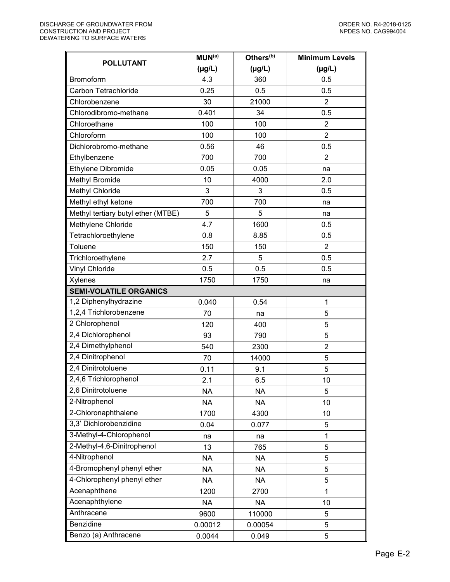| <b>POLLUTANT</b>                   | MUN <sup>(a)</sup> | Others <sup>(b)</sup> | <b>Minimum Levels</b> |
|------------------------------------|--------------------|-----------------------|-----------------------|
|                                    | $(\mu g/L)$        | $(\mu g/L)$           | $(\mu g/L)$           |
| Bromoform                          | 4.3                | 360                   | 0.5                   |
| Carbon Tetrachloride               | 0.25               | 0.5                   | 0.5                   |
| Chlorobenzene                      | 30                 | 21000                 | $\overline{2}$        |
| Chlorodibromo-methane              | 0.401              | 34                    | 0.5                   |
| Chloroethane                       | 100                | 100                   | $\overline{2}$        |
| Chloroform                         | 100                | 100                   | $\overline{2}$        |
| Dichlorobromo-methane              | 0.56               | 46                    | 0.5                   |
| Ethylbenzene                       | 700                | 700                   | $\overline{2}$        |
| Ethylene Dibromide                 | 0.05               | 0.05                  | na                    |
| Methyl Bromide                     | 10                 | 4000                  | 2.0                   |
| Methyl Chloride                    | 3                  | 3                     | 0.5                   |
| Methyl ethyl ketone                | 700                | 700                   | na                    |
| Methyl tertiary butyl ether (MTBE) | 5                  | 5                     | na                    |
| Methylene Chloride                 | 4.7                | 1600                  | 0.5                   |
| Tetrachloroethylene                | 0.8                | 8.85                  | 0.5                   |
| Toluene                            | 150                | 150                   | $\overline{2}$        |
| Trichloroethylene                  | 2.7                | 5                     | 0.5                   |
| Vinyl Chloride                     | 0.5                | 0.5                   | 0.5                   |
| Xylenes                            | 1750               | 1750                  | na                    |
| <b>SEMI-VOLATILE ORGANICS</b>      |                    |                       |                       |
| 1,2 Diphenylhydrazine              | 0.040              | 0.54                  | 1                     |
| 1,2,4 Trichlorobenzene             | 70                 | na                    | 5                     |
| 2 Chlorophenol                     | 120                | 400                   | 5                     |
| 2,4 Dichlorophenol                 | 93                 | 790                   | 5                     |
| 2,4 Dimethylphenol                 | 540                | 2300                  | $\overline{2}$        |
| 2,4 Dinitrophenol                  | 70                 | 14000                 | 5                     |
| 2,4 Dinitrotoluene                 | 0.11               | 9.1                   | 5                     |
| 2,4,6 Trichlorophenol              | 2.1                | 6.5                   | 10                    |
| 2,6 Dinitrotoluene                 | <b>NA</b>          | <b>NA</b>             | 5                     |
| 2-Nitrophenol                      | <b>NA</b>          | <b>NA</b>             | 10                    |
| 2-Chloronaphthalene                | 1700               | 4300                  | 10                    |
| 3,3' Dichlorobenzidine             | 0.04               | 0.077                 | 5                     |
| 3-Methyl-4-Chlorophenol            | na                 | na                    | 1                     |
| 2-Methyl-4,6-Dinitrophenol         | 13                 | 765                   | 5                     |
| 4-Nitrophenol                      | <b>NA</b>          | <b>NA</b>             | 5                     |
| 4-Bromophenyl phenyl ether         | NA                 | NA                    | 5                     |
| 4-Chlorophenyl phenyl ether        | <b>NA</b>          | <b>NA</b>             | 5                     |
| Acenaphthene                       | 1200               | 2700                  | 1                     |
| Acenaphthylene                     | <b>NA</b>          | <b>NA</b>             | 10                    |
| Anthracene                         | 9600               | 110000                | 5                     |
| Benzidine                          | 0.00012            | 0.00054               | 5                     |
| Benzo (a) Anthracene               | 0.0044             | 0.049                 | 5                     |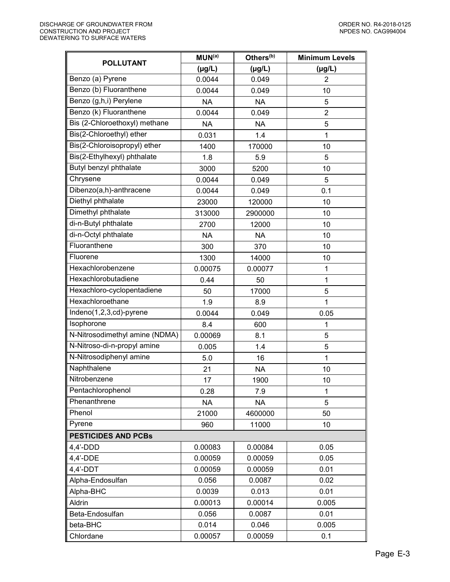| <b>POLLUTANT</b>               | MUN <sup>(a)</sup> | Others <sup>(b)</sup> | <b>Minimum Levels</b> |
|--------------------------------|--------------------|-----------------------|-----------------------|
|                                | $(\mu g/L)$        | $(\mu g/L)$           | $(\mu g/L)$           |
| Benzo (a) Pyrene               | 0.0044             | 0.049                 | $\overline{2}$        |
| Benzo (b) Fluoranthene         | 0.0044             | 0.049                 | 10                    |
| Benzo (g,h,i) Perylene         | <b>NA</b>          | <b>NA</b>             | 5                     |
| Benzo (k) Fluoranthene         | 0.0044             | 0.049                 | $\overline{2}$        |
| Bis (2-Chloroethoxyl) methane  | <b>NA</b>          | <b>NA</b>             | 5                     |
| Bis(2-Chloroethyl) ether       | 0.031              | 1.4                   | $\mathbf{1}$          |
| Bis(2-Chloroisopropyl) ether   | 1400               | 170000                | 10                    |
| Bis(2-Ethylhexyl) phthalate    | 1.8                | 5.9                   | 5                     |
| Butyl benzyl phthalate         | 3000               | 5200                  | 10                    |
| Chrysene                       | 0.0044             | 0.049                 | 5                     |
| Dibenzo(a,h)-anthracene        | 0.0044             | 0.049                 | 0.1                   |
| Diethyl phthalate              | 23000              | 120000                | 10                    |
| Dimethyl phthalate             | 313000             | 2900000               | 10                    |
| di-n-Butyl phthalate           | 2700               | 12000                 | 10                    |
| di-n-Octyl phthalate           | <b>NA</b>          | <b>NA</b>             | 10                    |
| Fluoranthene                   | 300                | 370                   | 10                    |
| Fluorene                       | 1300               | 14000                 | 10                    |
| Hexachlorobenzene              | 0.00075            | 0.00077               | 1                     |
| Hexachlorobutadiene            | 0.44               | 50                    | 1                     |
| Hexachloro-cyclopentadiene     | 50                 | 17000                 | 5                     |
| Hexachloroethane               | 1.9                | 8.9                   | 1                     |
| Indeno(1,2,3,cd)-pyrene        | 0.0044             | 0.049                 | 0.05                  |
| Isophorone                     | 8.4                | 600                   | 1                     |
| N-Nitrosodimethyl amine (NDMA) | 0.00069            | 8.1                   | 5                     |
| N-Nitroso-di-n-propyl amine    | 0.005              | 1.4                   | 5                     |
| N-Nitrosodiphenyl amine        | 5.0                | 16                    | 1                     |
| Naphthalene                    | 21                 | <b>NA</b>             | 10                    |
| Nitrobenzene                   | 17                 | 1900                  | 10                    |
| Pentachlorophenol              | 0.28               | 7.9                   | 1                     |
| Phenanthrene                   | NA                 | <b>NA</b>             | 5                     |
| Phenol                         | 21000              | 4600000               | 50                    |
| Pyrene                         | 960                | 11000                 | 10                    |
| <b>PESTICIDES AND PCBs</b>     |                    |                       |                       |
| $4,4'$ -DDD                    | 0.00083            | 0.00084               | 0.05                  |
| 4,4'-DDE                       | 0.00059            | 0.00059               | 0.05                  |
| $4,4'$ -DDT                    | 0.00059            | 0.00059               | 0.01                  |
| Alpha-Endosulfan               | 0.056              | 0.0087                | 0.02                  |
| Alpha-BHC                      | 0.0039             | 0.013                 | 0.01                  |
| Aldrin                         | 0.00013            | 0.00014               | 0.005                 |
| Beta-Endosulfan                | 0.056              | 0.0087                | 0.01                  |
| beta-BHC                       | 0.014              | 0.046                 | 0.005                 |
| Chlordane                      | 0.00057            | 0.00059               | 0.1                   |